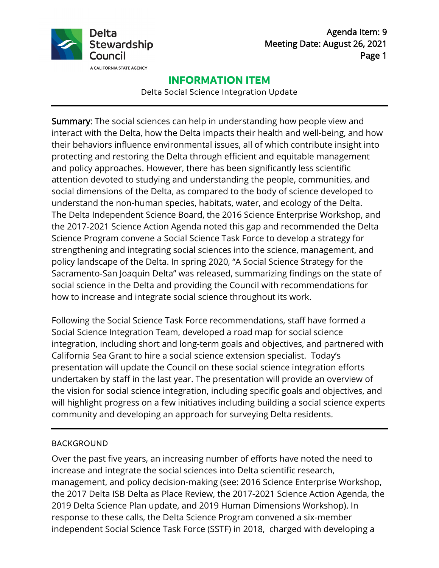

Agenda Item: 9 Meeting Date: August 26, 2021 Page 1

# **INFORMATION ITEM**

Delta Social Science Integration Update

Summary: The social sciences can help in understanding how people view and interact with the Delta, how the Delta impacts their health and well-being, and how their behaviors influence environmental issues, all of which contribute insight into protecting and restoring the Delta through efficient and equitable management and policy approaches. However, there has been significantly less scientific attention devoted to studying and understanding the people, communities, and social dimensions of the Delta, as compared to the body of science developed to understand the non-human species, habitats, water, and ecology of the Delta. The Delta Independent Science Board, the 2016 Science Enterprise Workshop, and the 2017-2021 Science Action Agenda noted this gap and recommended the Delta Science Program convene a Social Science Task Force to develop a strategy for strengthening and integrating social sciences into the science, management, and policy landscape of the Delta. In spring 2020, "A Social Science Strategy for the Sacramento-San Joaquin Delta" was released, summarizing findings on the state of social science in the Delta and providing the Council with recommendations for how to increase and integrate social science throughout its work.

Following the Social Science Task Force recommendations, staff have formed a Social Science Integration Team, developed a road map for social science integration, including short and long-term goals and objectives, and partnered with California Sea Grant to hire a social science extension specialist. Today's presentation will update the Council on these social science integration efforts undertaken by staff in the last year. The presentation will provide an overview of the vision for social science integration, including specific goals and objectives, and will highlight progress on a few initiatives including building a social science experts community and developing an approach for surveying Delta residents.

## BACKGROUND

Over the past five years, an increasing number of efforts have noted the need to increase and integrate the social sciences into Delta scientific research, management, and policy decision-making (see: 2016 Science Enterprise Workshop, the 2017 Delta ISB Delta as Place Review, the 2017-2021 Science Action Agenda, the 2019 Delta Science Plan update, and 2019 Human Dimensions Workshop). In response to these calls, the Delta Science Program convened a six-member independent Social Science Task Force (SSTF) in 2018, charged with developing a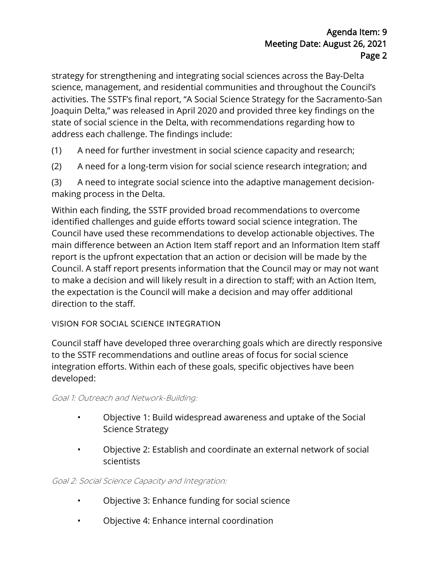strategy for strengthening and integrating social sciences across the Bay-Delta science, management, and residential communities and throughout the Council's activities. The SSTF's final report, "A Social Science Strategy for the Sacramento-San Joaquin Delta," was released in April 2020 and provided three key findings on the state of social science in the Delta, with recommendations regarding how to address each challenge. The findings include:

- (1) A need for further investment in social science capacity and research;
- (2) A need for a long-term vision for social science research integration; and

(3) A need to integrate social science into the adaptive management decisionmaking process in the Delta.

Within each finding, the SSTF provided broad recommendations to overcome identified challenges and guide efforts toward social science integration. The Council have used these recommendations to develop actionable objectives. The main difference between an Action Item staff report and an Information Item staff report is the upfront expectation that an action or decision will be made by the Council. A staff report presents information that the Council may or may not want to make a decision and will likely result in a direction to staff; with an Action Item, the expectation is the Council will make a decision and may offer additional direction to the staff.

# VISION FOR SOCIAL SCIENCE INTEGRATION

Council staff have developed three overarching goals which are directly responsive to the SSTF recommendations and outline areas of focus for social science integration efforts. Within each of these goals, specific objectives have been developed:

# Goal 1: Outreach and Network-Building:

- Objective 1: Build widespread awareness and uptake of the Social Science Strategy
- Objective 2: Establish and coordinate an external network of social scientists

# Goal 2: Social Science Capacity and Integration:

- Objective 3: Enhance funding for social science
- Objective 4: Enhance internal coordination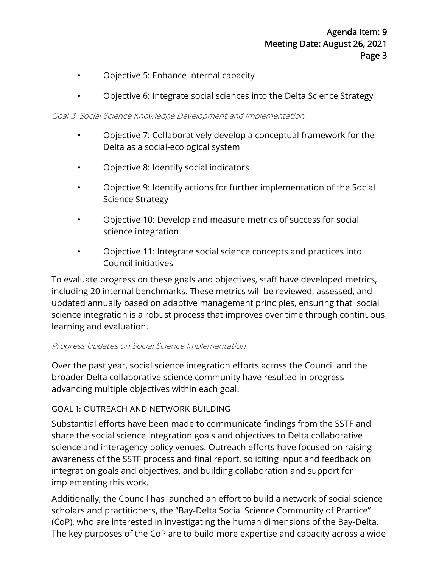- Objective 5: Enhance internal capacity
- Objective 6: Integrate social sciences into the Delta Science Strategy

#### Goal 3: Social Science Knowledge Development and Implementation:

- Objective 7: Collaboratively develop a conceptual framework for the Delta as a social-ecological system
- Objective 8: Identify social indicators
- Objective 9: Identify actions for further implementation of the Social Science Strategy
- Objective 10: Develop and measure metrics of success for social science integration
- Objective 11: Integrate social science concepts and practices into Council initiatives

To evaluate progress on these goals and objectives, staff have developed metrics, including 20 internal benchmarks. These metrics will be reviewed, assessed, and updated annually based on adaptive management principles, ensuring that social science integration is a robust process that improves over time through continuous learning and evaluation.

#### Progress Updates on Social Science Implementation

Over the past year, social science integration efforts across the Council and the broader Delta collaborative science community have resulted in progress advancing multiple objectives within each goal.

## GOAL 1: OUTREACH AND NETWORK BUILDING

Substantial efforts have been made to communicate findings from the SSTF and share the social science integration goals and objectives to Delta collaborative science and interagency policy venues. Outreach efforts have focused on raising awareness of the SSTF process and final report, soliciting input and feedback on integration goals and objectives, and building collaboration and support for implementing this work.

Additionally, the Council has launched an effort to build a network of social science scholars and practitioners, the "Bay-Delta Social Science Community of Practice" (CoP), who are interested in investigating the human dimensions of the Bay-Delta. The key purposes of the CoP are to build more expertise and capacity across a wide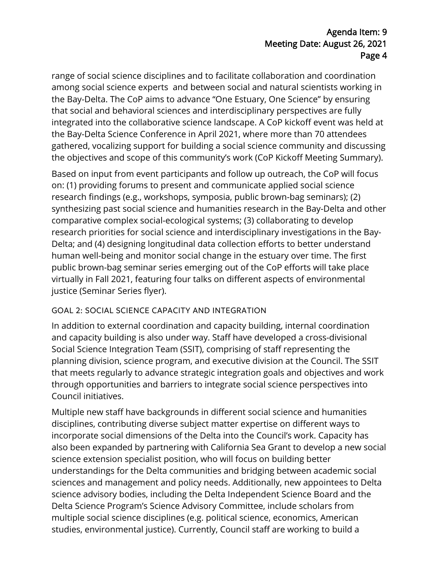# Agenda Item: 9 Meeting Date: August 26, 2021 Page 4

range of social science disciplines and to facilitate collaboration and coordination among social science experts and between social and natural scientists working in the Bay-Delta. The CoP aims to advance "One Estuary, One Science" by ensuring that social and behavioral sciences and interdisciplinary perspectives are fully integrated into the collaborative science landscape. A CoP kickoff event was held at the Bay-Delta Science Conference in April 2021, where more than 70 attendees gathered, vocalizing support for building a social science community and discussing the objectives and scope of this community's work (CoP Kickoff Meeting Summary).

Based on input from event participants and follow up outreach, the CoP will focus on: (1) providing forums to present and communicate applied social science research findings (e.g., workshops, symposia, public brown-bag seminars); (2) synthesizing past social science and humanities research in the Bay-Delta and other comparative complex social-ecological systems; (3) collaborating to develop research priorities for social science and interdisciplinary investigations in the Bay-Delta; and (4) designing longitudinal data collection efforts to better understand human well-being and monitor social change in the estuary over time. The first public brown-bag seminar series emerging out of the CoP efforts will take place virtually in Fall 2021, featuring four talks on different aspects of environmental justice (Seminar Series flyer).

# GOAL 2: SOCIAL SCIENCE CAPACITY AND INTEGRATION

In addition to external coordination and capacity building, internal coordination and capacity building is also under way. Staff have developed a cross-divisional Social Science Integration Team (SSIT), comprising of staff representing the planning division, science program, and executive division at the Council. The SSIT that meets regularly to advance strategic integration goals and objectives and work through opportunities and barriers to integrate social science perspectives into Council initiatives.

Multiple new staff have backgrounds in different social science and humanities disciplines, contributing diverse subject matter expertise on different ways to incorporate social dimensions of the Delta into the Council's work. Capacity has also been expanded by partnering with California Sea Grant to develop a new social science extension specialist position, who will focus on building better understandings for the Delta communities and bridging between academic social sciences and management and policy needs. Additionally, new appointees to Delta science advisory bodies, including the Delta Independent Science Board and the Delta Science Program's Science Advisory Committee, include scholars from multiple social science disciplines (e.g. political science, economics, American studies, environmental justice). Currently, Council staff are working to build a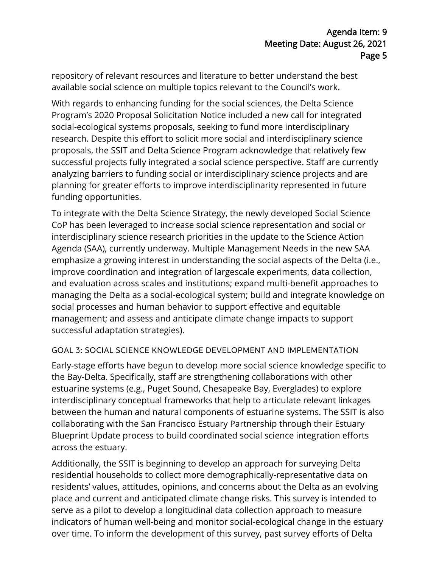repository of relevant resources and literature to better understand the best available social science on multiple topics relevant to the Council's work.

With regards to enhancing funding for the social sciences, the Delta Science Program's 2020 Proposal Solicitation Notice included a new call for integrated social-ecological systems proposals, seeking to fund more interdisciplinary research. Despite this effort to solicit more social and interdisciplinary science proposals, the SSIT and Delta Science Program acknowledge that relatively few successful projects fully integrated a social science perspective. Staff are currently analyzing barriers to funding social or interdisciplinary science projects and are planning for greater efforts to improve interdisciplinarity represented in future funding opportunities.

To integrate with the Delta Science Strategy, the newly developed Social Science CoP has been leveraged to increase social science representation and social or interdisciplinary science research priorities in the update to the Science Action Agenda (SAA), currently underway. Multiple Management Needs in the new SAA emphasize a growing interest in understanding the social aspects of the Delta (i.e., improve coordination and integration of largescale experiments, data collection, and evaluation across scales and institutions; expand multi-benefit approaches to managing the Delta as a social-ecological system; build and integrate knowledge on social processes and human behavior to support effective and equitable management; and assess and anticipate climate change impacts to support successful adaptation strategies).

## GOAL 3: SOCIAL SCIENCE KNOWLEDGE DEVELOPMENT AND IMPLEMENTATION

Early-stage efforts have begun to develop more social science knowledge specific to the Bay-Delta. Specifically, staff are strengthening collaborations with other estuarine systems (e.g., Puget Sound, Chesapeake Bay, Everglades) to explore interdisciplinary conceptual frameworks that help to articulate relevant linkages between the human and natural components of estuarine systems. The SSIT is also collaborating with the San Francisco Estuary Partnership through their Estuary Blueprint Update process to build coordinated social science integration efforts across the estuary.

Additionally, the SSIT is beginning to develop an approach for surveying Delta residential households to collect more demographically-representative data on residents' values, attitudes, opinions, and concerns about the Delta as an evolving place and current and anticipated climate change risks. This survey is intended to serve as a pilot to develop a longitudinal data collection approach to measure indicators of human well-being and monitor social-ecological change in the estuary over time. To inform the development of this survey, past survey efforts of Delta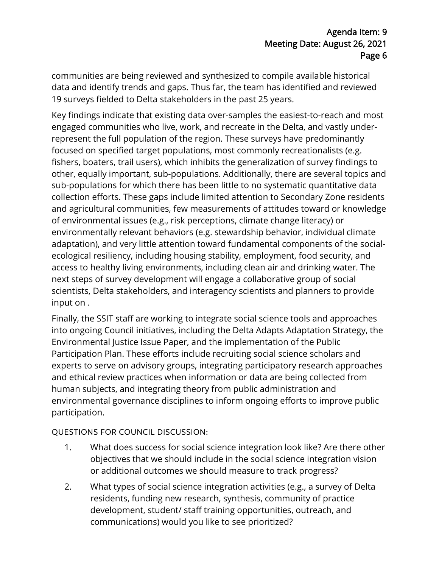communities are being reviewed and synthesized to compile available historical data and identify trends and gaps. Thus far, the team has identified and reviewed 19 surveys fielded to Delta stakeholders in the past 25 years.

Key findings indicate that existing data over-samples the easiest-to-reach and most engaged communities who live, work, and recreate in the Delta, and vastly underrepresent the full population of the region. These surveys have predominantly focused on specified target populations, most commonly recreationalists (e.g. fishers, boaters, trail users), which inhibits the generalization of survey findings to other, equally important, sub-populations. Additionally, there are several topics and sub-populations for which there has been little to no systematic quantitative data collection efforts. These gaps include limited attention to Secondary Zone residents and agricultural communities, few measurements of attitudes toward or knowledge of environmental issues (e.g., risk perceptions, climate change literacy) or environmentally relevant behaviors (e.g. stewardship behavior, individual climate adaptation), and very little attention toward fundamental components of the socialecological resiliency, including housing stability, employment, food security, and access to healthy living environments, including clean air and drinking water. The next steps of survey development will engage a collaborative group of social scientists, Delta stakeholders, and interagency scientists and planners to provide input on .

Finally, the SSIT staff are working to integrate social science tools and approaches into ongoing Council initiatives, including the Delta Adapts Adaptation Strategy, the Environmental Justice Issue Paper, and the implementation of the Public Participation Plan. These efforts include recruiting social science scholars and experts to serve on advisory groups, integrating participatory research approaches and ethical review practices when information or data are being collected from human subjects, and integrating theory from public administration and environmental governance disciplines to inform ongoing efforts to improve public participation.

QUESTIONS FOR COUNCIL DISCUSSION:

- 1. What does success for social science integration look like? Are there other objectives that we should include in the social science integration vision or additional outcomes we should measure to track progress?
- 2. What types of social science integration activities (e.g., a survey of Delta residents, funding new research, synthesis, community of practice development, student/ staff training opportunities, outreach, and communications) would you like to see prioritized?